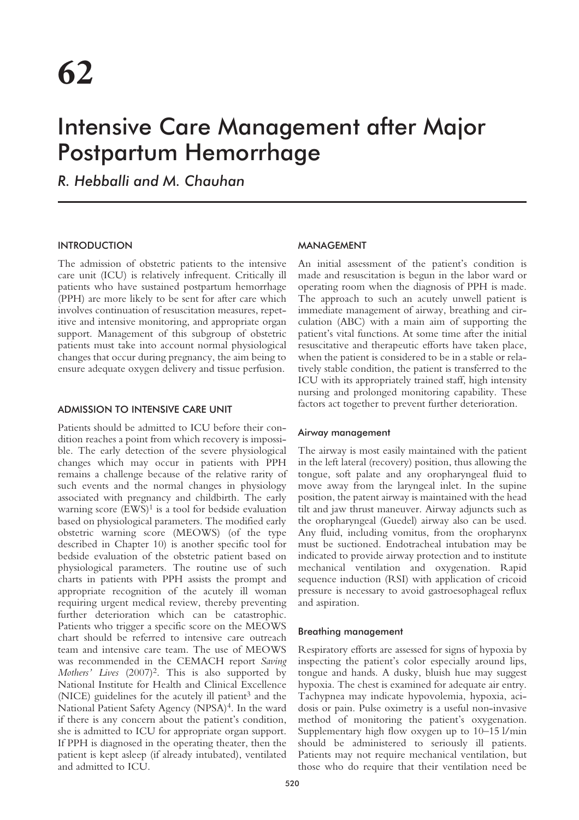# Intensive Care Management after Major Postpartum Hemorrhage

*R. Hebballi and M. Chauhan*

# INTRODUCTION

The admission of obstetric patients to the intensive care unit (ICU) is relatively infrequent. Critically ill patients who have sustained postpartum hemorrhage (PPH) are more likely to be sent for after care which involves continuation of resuscitation measures, repetitive and intensive monitoring, and appropriate organ support. Management of this subgroup of obstetric patients must take into account normal physiological changes that occur during pregnancy, the aim being to ensure adequate oxygen delivery and tissue perfusion.

# ADMISSION TO INTENSIVE CARE UNIT

Patients should be admitted to ICU before their condition reaches a point from which recovery is impossible. The early detection of the severe physiological changes which may occur in patients with PPH remains a challenge because of the relative rarity of such events and the normal changes in physiology associated with pregnancy and childbirth. The early warning score  $(EWS)^1$  is a tool for bedside evaluation based on physiological parameters. The modified early obstetric warning score (MEOWS) (of the type described in Chapter 10) is another specific tool for bedside evaluation of the obstetric patient based on physiological parameters. The routine use of such charts in patients with PPH assists the prompt and appropriate recognition of the acutely ill woman requiring urgent medical review, thereby preventing further deterioration which can be catastrophic. Patients who trigger a specific score on the MEOWS chart should be referred to intensive care outreach team and intensive care team. The use of MEOWS was recommended in the CEMACH report *Saving Mothers' Lives* (2007)2. This is also supported by National Institute for Health and Clinical Excellence (NICE) guidelines for the acutely ill patient<sup>3</sup> and the National Patient Safety Agency (NPSA)<sup>4</sup>. In the ward if there is any concern about the patient's condition, she is admitted to ICU for appropriate organ support. If PPH is diagnosed in the operating theater, then the patient is kept asleep (if already intubated), ventilated and admitted to ICU.

# MANAGEMENT

An initial assessment of the patient's condition is made and resuscitation is begun in the labor ward or operating room when the diagnosis of PPH is made. The approach to such an acutely unwell patient is immediate management of airway, breathing and circulation (ABC) with a main aim of supporting the patient's vital functions. At some time after the initial resuscitative and therapeutic efforts have taken place, when the patient is considered to be in a stable or relatively stable condition, the patient is transferred to the ICU with its appropriately trained staff, high intensity nursing and prolonged monitoring capability. These factors act together to prevent further deterioration.

# Airway management

The airway is most easily maintained with the patient in the left lateral (recovery) position, thus allowing the tongue, soft palate and any oropharyngeal fluid to move away from the laryngeal inlet. In the supine position, the patent airway is maintained with the head tilt and jaw thrust maneuver. Airway adjuncts such as the oropharyngeal (Guedel) airway also can be used. Any fluid, including vomitus, from the oropharynx must be suctioned. Endotracheal intubation may be indicated to provide airway protection and to institute mechanical ventilation and oxygenation. Rapid sequence induction (RSI) with application of cricoid pressure is necessary to avoid gastroesophageal reflux and aspiration.

## Breathing management

Respiratory efforts are assessed for signs of hypoxia by inspecting the patient's color especially around lips, tongue and hands. A dusky, bluish hue may suggest hypoxia. The chest is examined for adequate air entry. Tachypnea may indicate hypovolemia, hypoxia, acidosis or pain. Pulse oximetry is a useful non-invasive method of monitoring the patient's oxygenation. Supplementary high flow oxygen up to 10–15 l/min should be administered to seriously ill patients. Patients may not require mechanical ventilation, but those who do require that their ventilation need be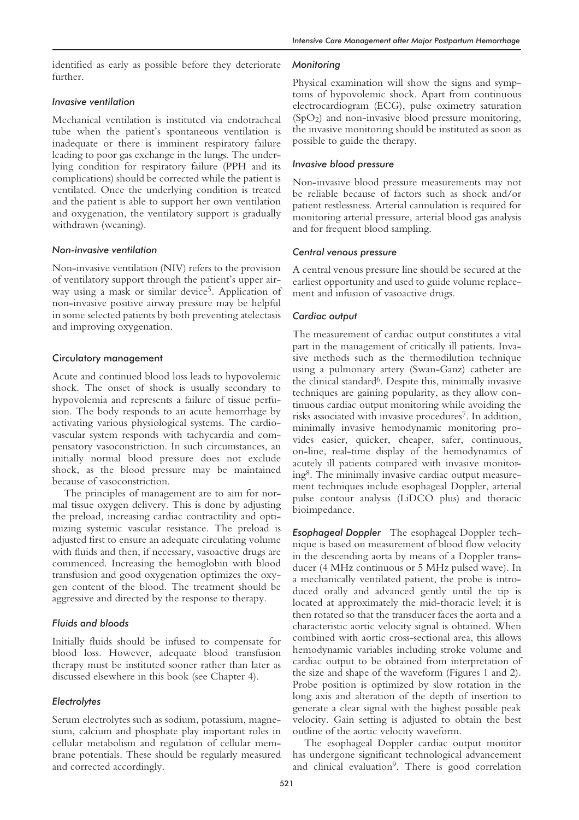identified as early as possible before they deteriorate further.

# *Invasive ventilation*

Mechanical ventilation is instituted via endotracheal tube when the patient's spontaneous ventilation is inadequate or there is imminent respiratory failure leading to poor gas exchange in the lungs. The underlying condition for respiratory failure (PPH and its complications) should be corrected while the patient is ventilated. Once the underlying condition is treated and the patient is able to support her own ventilation and oxygenation, the ventilatory support is gradually withdrawn (weaning).

# *Non-invasive ventilation*

Non-invasive ventilation (NIV) refers to the provision of ventilatory support through the patient's upper airway using a mask or similar device5. Application of non-invasive positive airway pressure may be helpful in some selected patients by both preventing atelectasis and improving oxygenation.

# Circulatory management

Acute and continued blood loss leads to hypovolemic shock. The onset of shock is usually secondary to hypovolemia and represents a failure of tissue perfusion. The body responds to an acute hemorrhage by activating various physiological systems. The cardiovascular system responds with tachycardia and compensatory vasoconstriction. In such circumstances, an initially normal blood pressure does not exclude shock, as the blood pressure may be maintained because of vasoconstriction.

The principles of management are to aim for normal tissue oxygen delivery. This is done by adjusting the preload, increasing cardiac contractility and optimizing systemic vascular resistance. The preload is adjusted first to ensure an adequate circulating volume with fluids and then, if necessary, vasoactive drugs are commenced. Increasing the hemoglobin with blood transfusion and good oxygenation optimizes the oxygen content of the blood. The treatment should be aggressive and directed by the response to therapy.

# *Fluids and bloods*

Initially fluids should be infused to compensate for blood loss. However, adequate blood transfusion therapy must be instituted sooner rather than later as discussed elsewhere in this book (see Chapter 4).

# *Electrolytes*

Serum electrolytes such as sodium, potassium, magnesium, calcium and phosphate play important roles in cellular metabolism and regulation of cellular membrane potentials. These should be regularly measured and corrected accordingly.

# *Monitoring*

Physical examination will show the signs and symptoms of hypovolemic shock. Apart from continuous electrocardiogram (ECG), pulse oximetry saturation (SpO2) and non-invasive blood pressure monitoring, the invasive monitoring should be instituted as soon as possible to guide the therapy.

# *Invasive blood pressure*

Non-invasive blood pressure measurements may not be reliable because of factors such as shock and/or patient restlessness. Arterial cannulation is required for monitoring arterial pressure, arterial blood gas analysis and for frequent blood sampling.

# *Central venous pressure*

A central venous pressure line should be secured at the earliest opportunity and used to guide volume replacement and infusion of vasoactive drugs.

# *Cardiac output*

The measurement of cardiac output constitutes a vital part in the management of critically ill patients. Invasive methods such as the thermodilution technique using a pulmonary artery (Swan-Ganz) catheter are the clinical standard<sup>6</sup>. Despite this, minimally invasive techniques are gaining popularity, as they allow continuous cardiac output monitoring while avoiding the risks associated with invasive procedures<sup>7</sup>. In addition, minimally invasive hemodynamic monitoring provides easier, quicker, cheaper, safer, continuous, on-line, real-time display of the hemodynamics of acutely ill patients compared with invasive monitoring8. The minimally invasive cardiac output measurement techniques include esophageal Doppler, arterial pulse contour analysis (LiDCO plus) and thoracic bioimpedance.

*Esophageal Doppler* The esophageal Doppler technique is based on measurement of blood flow velocity in the descending aorta by means of a Doppler transducer (4 MHz continuous or 5 MHz pulsed wave). In a mechanically ventilated patient, the probe is introduced orally and advanced gently until the tip is located at approximately the mid-thoracic level; it is then rotated so that the transducer faces the aorta and a characteristic aortic velocity signal is obtained. When combined with aortic cross-sectional area, this allows hemodynamic variables including stroke volume and cardiac output to be obtained from interpretation of the size and shape of the waveform (Figures 1 and 2). Probe position is optimized by slow rotation in the long axis and alteration of the depth of insertion to generate a clear signal with the highest possible peak velocity. Gain setting is adjusted to obtain the best outline of the aortic velocity waveform.

The esophageal Doppler cardiac output monitor has undergone significant technological advancement and clinical evaluation<sup>9</sup>. There is good correlation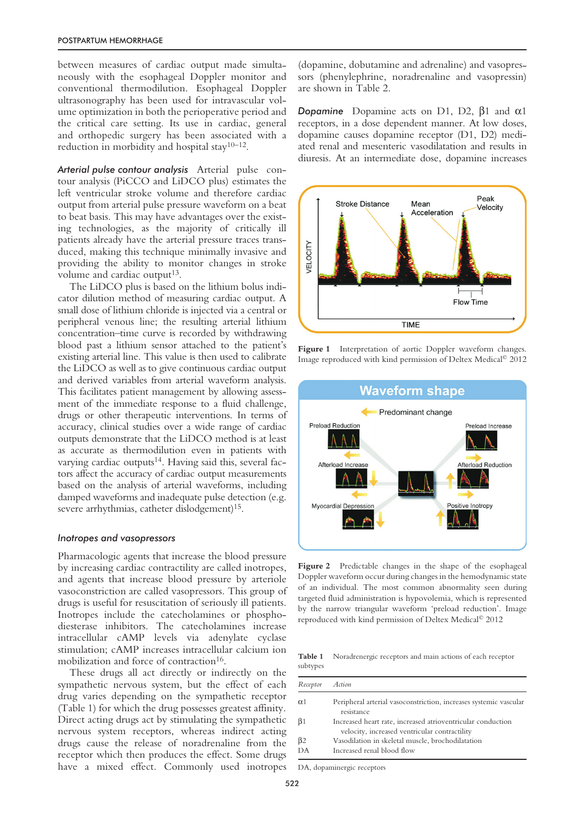#### POSTPARTUM HEMORRHAGE

between measures of cardiac output made simultaneously with the esophageal Doppler monitor and conventional thermodilution. Esophageal Doppler ultrasonography has been used for intravascular volume optimization in both the perioperative period and the critical care setting. Its use in cardiac, general and orthopedic surgery has been associated with a reduction in morbidity and hospital stay<sup>10–12</sup>.

*Arterial pulse contour analysis* Arterial pulse contour analysis (PiCCO and LiDCO plus) estimates the left ventricular stroke volume and therefore cardiac output from arterial pulse pressure waveform on a beat to beat basis. This may have advantages over the existing technologies, as the majority of critically ill patients already have the arterial pressure traces transduced, making this technique minimally invasive and providing the ability to monitor changes in stroke volume and cardiac output<sup>13</sup>.

The LiDCO plus is based on the lithium bolus indicator dilution method of measuring cardiac output. A small dose of lithium chloride is injected via a central or peripheral venous line; the resulting arterial lithium concentration–time curve is recorded by withdrawing blood past a lithium sensor attached to the patient's existing arterial line. This value is then used to calibrate the LiDCO as well as to give continuous cardiac output and derived variables from arterial waveform analysis. This facilitates patient management by allowing assessment of the immediate response to a fluid challenge, drugs or other therapeutic interventions. In terms of accuracy, clinical studies over a wide range of cardiac outputs demonstrate that the LiDCO method is at least as accurate as thermodilution even in patients with varying cardiac outputs<sup>14</sup>. Having said this, several factors affect the accuracy of cardiac output measurements based on the analysis of arterial waveforms, including damped waveforms and inadequate pulse detection (e.g. severe arrhythmias, catheter dislodgement)<sup>15</sup>.

#### *Inotropes and vasopressors*

Pharmacologic agents that increase the blood pressure by increasing cardiac contractility are called inotropes, and agents that increase blood pressure by arteriole vasoconstriction are called vasopressors. This group of drugs is useful for resuscitation of seriously ill patients. Inotropes include the catecholamines or phosphodiesterase inhibitors. The catecholamines increase intracellular cAMP levels via adenylate cyclase stimulation; cAMP increases intracellular calcium ion mobilization and force of contraction<sup>16</sup>.

These drugs all act directly or indirectly on the sympathetic nervous system, but the effect of each drug varies depending on the sympathetic receptor (Table 1) for which the drug possesses greatest affinity. Direct acting drugs act by stimulating the sympathetic nervous system receptors, whereas indirect acting drugs cause the release of noradrenaline from the receptor which then produces the effect. Some drugs have a mixed effect. Commonly used inotropes

(dopamine, dobutamine and adrenaline) and vasopressors (phenylephrine, noradrenaline and vasopressin) are shown in Table 2.

**Dopamine** Dopamine acts on D1, D2,  $\beta$ 1 and  $\alpha$ 1 receptors, in a dose dependent manner. At low doses, dopamine causes dopamine receptor (D1, D2) mediated renal and mesenteric vasodilatation and results in diuresis. At an intermediate dose, dopamine increases



Figure 1 Interpretation of aortic Doppler waveform changes. Image reproduced with kind permission of Deltex Medical© 2012



Figure 2 Predictable changes in the shape of the esophageal Doppler waveform occur during changes in the hemodynamic state of an individual. The most common abnormality seen during targeted fluid administration is hypovolemia, which is represented by the narrow triangular waveform 'preload reduction'. Image reproduced with kind permission of Deltex Medical© 2012

**Table 1** Noradrenergic receptors and main actions of each receptor subtypes

| Receptor   | Action                                                                                                       |
|------------|--------------------------------------------------------------------------------------------------------------|
| $\alpha$ 1 | Peripheral arterial vasoconstriction, increases systemic vascular<br>resistance                              |
| $\beta_1$  | Increased heart rate, increased atrioventricular conduction<br>velocity, increased ventricular contractility |
| $\beta$ 2  | Vasodilation in skeletal muscle, brochodilatation                                                            |
| DA         | Increased renal blood flow                                                                                   |

DA, dopaminergic receptors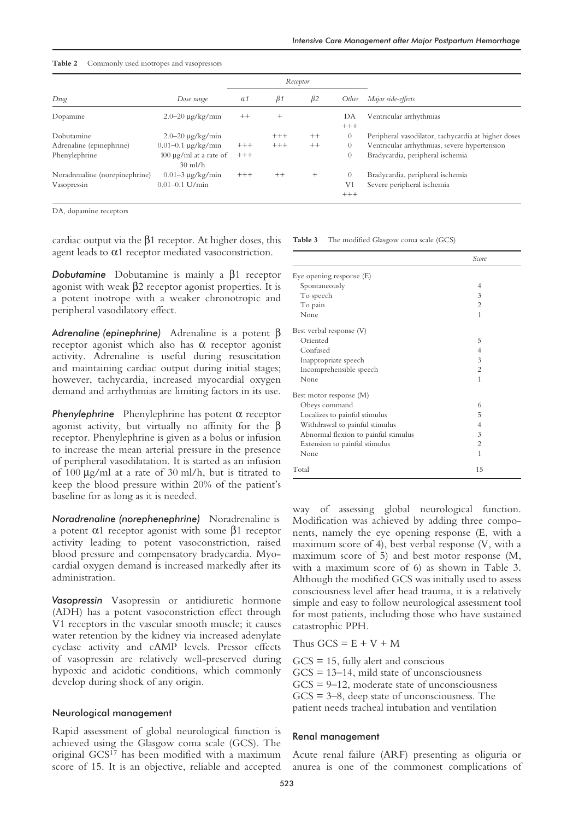#### **Table 2** Commonly used inotropes and vasopressors

|                                |                                          | Receptor   |           |           |                |                                                     |
|--------------------------------|------------------------------------------|------------|-----------|-----------|----------------|-----------------------------------------------------|
| Drug                           | Dose range                               | <i>a</i> 1 | $\beta$ 1 | $\beta$ 2 | <i>Other</i>   | Major side-effects                                  |
| Dopamine                       | $2.0 - 20 \mu g/kg/min$                  | $++$       | $^{+}$    |           | DА<br>$+++$    | Ventricular arrhythmias                             |
| Dobutamine                     | $2.0 - 20 \mu g/kg/min$                  |            | $^{+++}$  | $^{++}$   | $\theta$       | Peripheral vasodilator, tachycardia at higher doses |
| Adrenaline (epinephrine)       | $0.01 - 0.1 \mu g/kg/min$                | $+++$      | $+++$     | $^{++}$   | $\Omega$       | Ventricular arrhythmias, severe hypertension        |
| Phenylephrine                  | $100 \mu g/ml$ at a rate of<br>$30$ ml/h | $+++$      |           |           | 0              | Bradycardia, peripheral ischemia                    |
| Noradrenaline (norepinephrine) | $0.01 - 3 \mu g/kg/min$                  | $+++$      | $^{++}$   |           | $\theta$       | Bradycardia, peripheral ischemia                    |
| Vasopressin                    | $0.01 - 0.1$ U/min                       |            |           |           | V <sub>1</sub> | Severe peripheral ischemia                          |
|                                |                                          |            |           |           | $+++$          |                                                     |

DA, dopamine receptors

cardiac output via the  $\beta$ 1 receptor. At higher doses, this agent leads to α1 receptor mediated vasoconstriction.

*Dobutamine* Dobutamine is mainly a β1 receptor agonist with weak β2 receptor agonist properties. It is a potent inotrope with a weaker chronotropic and peripheral vasodilatory effect.

*Adrenaline (epinephrine)* Adrenaline is a potent β receptor agonist which also has  $\alpha$  receptor agonist activity. Adrenaline is useful during resuscitation and maintaining cardiac output during initial stages; however, tachycardia, increased myocardial oxygen demand and arrhythmias are limiting factors in its use.

*Phenylephrine* Phenylephrine has potent α receptor agonist activity, but virtually no affinity for the  $\beta$ receptor. Phenylephrine is given as a bolus or infusion to increase the mean arterial pressure in the presence of peripheral vasodilatation. It is started as an infusion of 100 µg/ml at a rate of 30 ml/h, but is titrated to keep the blood pressure within 20% of the patient's baseline for as long as it is needed.

*Noradrenaline (norephenephrine)* Noradrenaline is a potent α1 receptor agonist with some β1 receptor activity leading to potent vasoconstriction, raised blood pressure and compensatory bradycardia. Myocardial oxygen demand is increased markedly after its administration.

*Vasopressin* Vasopressin or antidiuretic hormone (ADH) has a potent vasoconstriction effect through V1 receptors in the vascular smooth muscle; it causes water retention by the kidney via increased adenylate cyclase activity and cAMP levels. Pressor effects of vasopressin are relatively well-preserved during hypoxic and acidotic conditions, which commonly develop during shock of any origin.

#### Neurological management

Rapid assessment of global neurological function is achieved using the Glasgow coma scale (GCS). The original GCS17 has been modified with a maximum score of 15. It is an objective, reliable and accepted

**Table 3** The modified Glasgow coma scale (GCS)

|                                      | <b>Score</b>   |
|--------------------------------------|----------------|
| Eye opening response (E)             |                |
| Spontaneously                        | 4              |
| To speech                            | 3              |
| To pain                              | $\overline{c}$ |
| None                                 | $\mathbf{1}$   |
| Best verbal response (V)             |                |
| Oriented                             | 5              |
| Confused                             | 4              |
| Inappropriate speech                 | 3              |
| Incomprehensible speech              | $\overline{2}$ |
| None                                 | $\mathbf{1}$   |
| Best motor response (M)              |                |
| Obeys command                        | 6              |
| Localizes to painful stimulus        | 5              |
| Withdrawal to painful stimulus       | $\overline{4}$ |
| Abnormal flexion to painful stimulus | 3              |
| Extension to painful stimulus        | $\overline{c}$ |
| None                                 | $\mathbf{1}$   |
| Total                                | 15             |

way of assessing global neurological function. Modification was achieved by adding three components, namely the eye opening response (E, with a maximum score of 4), best verbal response (V, with a maximum score of 5) and best motor response (M, with a maximum score of 6) as shown in Table 3. Although the modified GCS was initially used to assess consciousness level after head trauma, it is a relatively simple and easy to follow neurological assessment tool for most patients, including those who have sustained catastrophic PPH.

#### Thus  $GCS = E + V + M$

 $GCS = 15$ , fully alert and conscious  $GCS = 13-14$ , mild state of unconsciousness  $GCS = 9-12$ , moderate state of unconsciousness  $GCS = 3-8$ , deep state of unconsciousness. The patient needs tracheal intubation and ventilation

#### Renal management

Acute renal failure (ARF) presenting as oliguria or anurea is one of the commonest complications of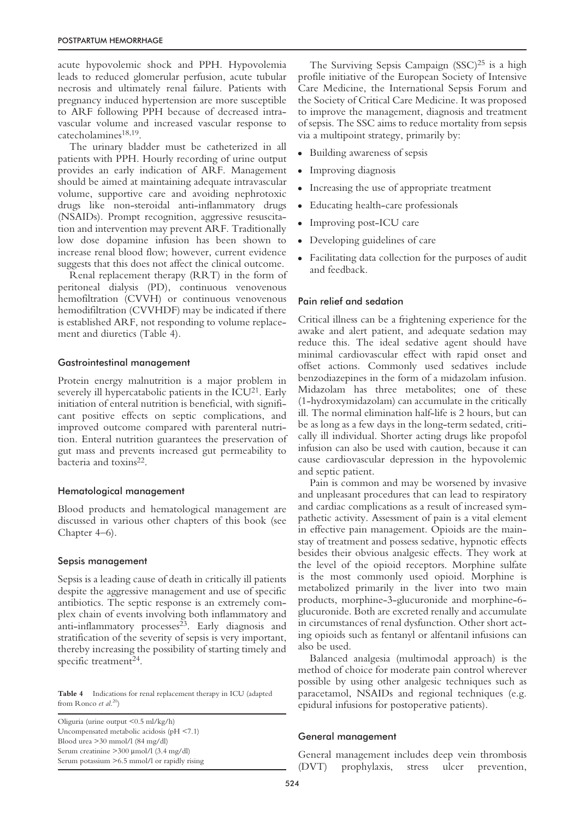acute hypovolemic shock and PPH. Hypovolemia leads to reduced glomerular perfusion, acute tubular necrosis and ultimately renal failure. Patients with pregnancy induced hypertension are more susceptible to ARF following PPH because of decreased intravascular volume and increased vascular response to catecholamines<sup>18,19</sup>.

The urinary bladder must be catheterized in all patients with PPH. Hourly recording of urine output provides an early indication of ARF. Management should be aimed at maintaining adequate intravascular volume, supportive care and avoiding nephrotoxic drugs like non-steroidal anti-inflammatory drugs (NSAIDs). Prompt recognition, aggressive resuscitation and intervention may prevent ARF. Traditionally low dose dopamine infusion has been shown to increase renal blood flow; however, current evidence suggests that this does not affect the clinical outcome.

Renal replacement therapy (RRT) in the form of peritoneal dialysis (PD), continuous venovenous hemofiltration (CVVH) or continuous venovenous hemodifiltration (CVVHDF) may be indicated if there is established ARF, not responding to volume replacement and diuretics (Table 4).

# Gastrointestinal management

Protein energy malnutrition is a major problem in severely ill hypercatabolic patients in the  $ICU<sup>21</sup>$ . Early initiation of enteral nutrition is beneficial, with significant positive effects on septic complications, and improved outcome compared with parenteral nutrition. Enteral nutrition guarantees the preservation of gut mass and prevents increased gut permeability to bacteria and toxins22.

## Hematological management

Blood products and hematological management are discussed in various other chapters of this book (see Chapter 4–6).

## Sepsis management

Sepsis is a leading cause of death in critically ill patients despite the aggressive management and use of specific antibiotics. The septic response is an extremely complex chain of events involving both inflammatory and anti-inflammatory processes<sup>23</sup>. Early diagnosis and stratification of the severity of sepsis is very important, thereby increasing the possibility of starting timely and specific treatment $24$ .

**Table 4** Indications for renal replacement therapy in ICU (adapted from Ronco *et al*. 20)

Oliguria (urine output <0.5 ml/kg/h) Uncompensated metabolic acidosis (pH <7.1) Blood urea >30 mmol/l (84 mg/dl) Serum creatinine >300 µmol/l (3.4 mg/dl) Serum potassium >6.5 mmol/l or rapidly rising

The Surviving Sepsis Campaign (SSC)<sup>25</sup> is a high profile initiative of the European Society of Intensive Care Medicine, the International Sepsis Forum and the Society of Critical Care Medicine. It was proposed to improve the management, diagnosis and treatment of sepsis. The SSC aims to reduce mortality from sepsis via a multipoint strategy, primarily by:

- Building awareness of sepsis
- Improving diagnosis
- Increasing the use of appropriate treatment
- Educating health-care professionals
- Improving post-ICU care
- Developing guidelines of care
- Facilitating data collection for the purposes of audit and feedback.

# Pain relief and sedation

Critical illness can be a frightening experience for the awake and alert patient, and adequate sedation may reduce this. The ideal sedative agent should have minimal cardiovascular effect with rapid onset and offset actions. Commonly used sedatives include benzodiazepines in the form of a midazolam infusion. Midazolam has three metabolites; one of these (1-hydroxymidazolam) can accumulate in the critically ill. The normal elimination half-life is 2 hours, but can be as long as a few days in the long-term sedated, critically ill individual. Shorter acting drugs like propofol infusion can also be used with caution, because it can cause cardiovascular depression in the hypovolemic and septic patient.

Pain is common and may be worsened by invasive and unpleasant procedures that can lead to respiratory and cardiac complications as a result of increased sympathetic activity. Assessment of pain is a vital element in effective pain management. Opioids are the mainstay of treatment and possess sedative, hypnotic effects besides their obvious analgesic effects. They work at the level of the opioid receptors. Morphine sulfate is the most commonly used opioid. Morphine is metabolized primarily in the liver into two main products, morphine-3-glucuronide and morphine-6 glucuronide. Both are excreted renally and accumulate in circumstances of renal dysfunction. Other short acting opioids such as fentanyl or alfentanil infusions can also be used.

Balanced analgesia (multimodal approach) is the method of choice for moderate pain control wherever possible by using other analgesic techniques such as paracetamol, NSAIDs and regional techniques (e.g. epidural infusions for postoperative patients).

## General management

General management includes deep vein thrombosis (DVT) prophylaxis, stress ulcer prevention,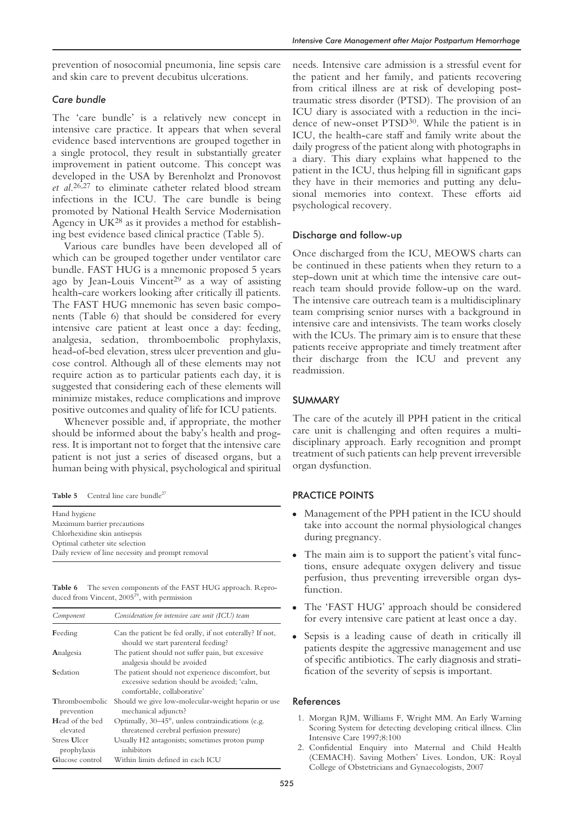prevention of nosocomial pneumonia, line sepsis care and skin care to prevent decubitus ulcerations.

## *Care bundle*

The 'care bundle' is a relatively new concept in intensive care practice. It appears that when several evidence based interventions are grouped together in a single protocol, they result in substantially greater improvement in patient outcome. This concept was developed in the USA by Berenholzt and Pronovost *et al*. 26,27 to eliminate catheter related blood stream infections in the ICU. The care bundle is being promoted by National Health Service Modernisation Agency in  $UK^{28}$  as it provides a method for establishing best evidence based clinical practice (Table 5).

Various care bundles have been developed all of which can be grouped together under ventilator care bundle. FAST HUG is a mnemonic proposed 5 years ago by Jean-Louis Vincent<sup>29</sup> as a way of assisting health-care workers looking after critically ill patients. The FAST HUG mnemonic has seven basic components (Table 6) that should be considered for every intensive care patient at least once a day: feeding, analgesia, sedation, thromboembolic prophylaxis, head-of-bed elevation, stress ulcer prevention and glucose control. Although all of these elements may not require action as to particular patients each day, it is suggested that considering each of these elements will minimize mistakes, reduce complications and improve positive outcomes and quality of life for ICU patients.

Whenever possible and, if appropriate, the mother should be informed about the baby's health and progress. It is important not to forget that the intensive care patient is not just a series of diseased organs, but a human being with physical, psychological and spiritual

Table 5 Central line care bundle<sup>27</sup>

| Hand hygiene                                      |
|---------------------------------------------------|
| Maximum barrier precautions                       |
| Chlorhexidine skin antisepsis                     |
| Optimal catheter site selection                   |
| Daily review of line necessity and prompt removal |
|                                                   |

**Table 6** The seven components of the FAST HUG approach. Reproduced from Vincent, 2005<sup>29</sup>, with permission

| Component                          | Consideration for intensive care unit (ICU) team                                                                                 |  |  |  |  |  |
|------------------------------------|----------------------------------------------------------------------------------------------------------------------------------|--|--|--|--|--|
| Feeding                            | Can the patient be fed orally, if not enterally? If not,<br>should we start parenteral feeding?                                  |  |  |  |  |  |
| Analgesia                          | The patient should not suffer pain, but excessive<br>analgesia should be avoided                                                 |  |  |  |  |  |
| Sedation                           | The patient should not experience discomfort, but<br>excessive sedation should be avoided; 'calm,<br>comfortable, collaborative' |  |  |  |  |  |
| Thromboembolic<br>prevention       | Should we give low-molecular-weight heparin or use<br>mechanical adjuncts?                                                       |  |  |  |  |  |
| <b>Head of the bed</b><br>elevated | Optimally, 30–45°, unless contraindications (e.g.<br>threatened cerebral perfusion pressure)                                     |  |  |  |  |  |
| Stress <b>Ulcer</b><br>prophylaxis | Usually H2 antagonists; sometimes proton pump<br>inhibitors                                                                      |  |  |  |  |  |
| Glucose control                    | Within limits defined in each ICU                                                                                                |  |  |  |  |  |

needs. Intensive care admission is a stressful event for the patient and her family, and patients recovering from critical illness are at risk of developing posttraumatic stress disorder (PTSD). The provision of an ICU diary is associated with a reduction in the incidence of new-onset PTSD30. While the patient is in ICU, the health-care staff and family write about the daily progress of the patient along with photographs in a diary. This diary explains what happened to the patient in the ICU, thus helping fill in significant gaps they have in their memories and putting any delusional memories into context. These efforts aid psychological recovery.

## Discharge and follow-up

Once discharged from the ICU, MEOWS charts can be continued in these patients when they return to a step-down unit at which time the intensive care outreach team should provide follow-up on the ward. The intensive care outreach team is a multidisciplinary team comprising senior nurses with a background in intensive care and intensivists. The team works closely with the ICUs. The primary aim is to ensure that these patients receive appropriate and timely treatment after their discharge from the ICU and prevent any readmission.

# SUMMARY

The care of the acutely ill PPH patient in the critical care unit is challenging and often requires a multidisciplinary approach. Early recognition and prompt treatment of such patients can help prevent irreversible organ dysfunction.

## PRACTICE POINTS

- Management of the PPH patient in the ICU should take into account the normal physiological changes during pregnancy.
- The main aim is to support the patient's vital functions, ensure adequate oxygen delivery and tissue perfusion, thus preventing irreversible organ dysfunction.
- The 'FAST HUG' approach should be considered for every intensive care patient at least once a day.
- Sepsis is a leading cause of death in critically ill patients despite the aggressive management and use of specific antibiotics. The early diagnosis and stratification of the severity of sepsis is important.

## References

- 1. Morgan RJM, Williams F, Wright MM. An Early Warning Scoring System for detecting developing critical illness. Clin Intensive Care 1997;8:100
- 2. Confidential Enquiry into Maternal and Child Health (CEMACH). Saving Mothers' Lives. London, UK: Royal College of Obstetricians and Gynaecologists, 2007